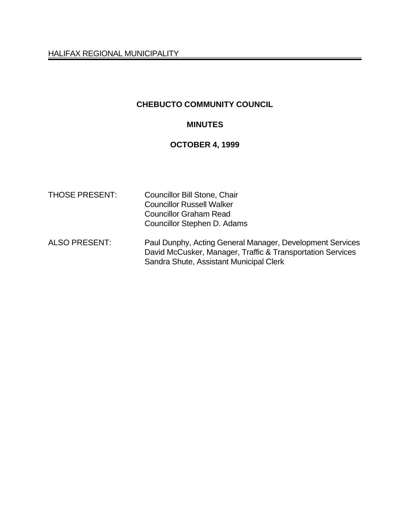HALIFAX REGIONAL MUNICIPALITY

# **CHEBUCTO COMMUNITY COUNCIL**

### **MINUTES**

# **OCTOBER 4, 1999**

| <b>THOSE PRESENT:</b> | <b>Councillor Bill Stone, Chair</b><br><b>Councillor Russell Walker</b><br><b>Councillor Graham Read</b><br>Councillor Stephen D. Adams                            |
|-----------------------|--------------------------------------------------------------------------------------------------------------------------------------------------------------------|
| <b>ALSO PRESENT:</b>  | Paul Dunphy, Acting General Manager, Development Services<br>David McCusker, Manager, Traffic & Transportation Services<br>Sandra Shute, Assistant Municipal Clerk |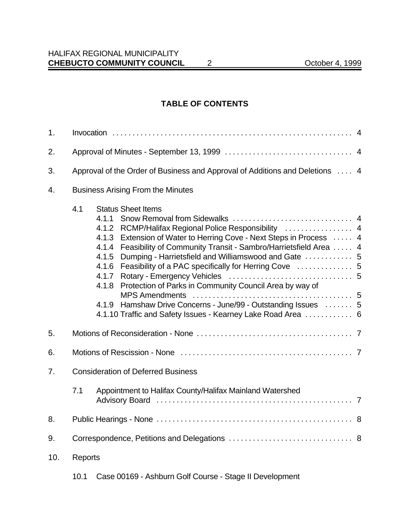#### **TABLE OF CONTENTS**

| 1.  |                                                                                                                                                                                                                                                                                                                                                                                                                                                                                                                                               |  |  |
|-----|-----------------------------------------------------------------------------------------------------------------------------------------------------------------------------------------------------------------------------------------------------------------------------------------------------------------------------------------------------------------------------------------------------------------------------------------------------------------------------------------------------------------------------------------------|--|--|
| 2.  |                                                                                                                                                                                                                                                                                                                                                                                                                                                                                                                                               |  |  |
| 3.  | Approval of the Order of Business and Approval of Additions and Deletions  4                                                                                                                                                                                                                                                                                                                                                                                                                                                                  |  |  |
| 4.  | <b>Business Arising From the Minutes</b>                                                                                                                                                                                                                                                                                                                                                                                                                                                                                                      |  |  |
|     | 4.1<br><b>Status Sheet Items</b><br>4.1.1<br>4.1.2 RCMP/Halifax Regional Police Responsibility  4<br>4.1.3 Extension of Water to Herring Cove - Next Steps in Process  4<br>4.1.4 Feasibility of Community Transit - Sambro/Harrietsfield Area  4<br>Dumping - Harrietsfield and Williamswood and Gate  5<br>4.1.5<br>4.1.6<br>4.1.7<br>Protection of Parks in Community Council Area by way of<br>4.1.8<br>Hamshaw Drive Concerns - June/99 - Outstanding Issues  5<br>4.1.9<br>4.1.10 Traffic and Safety Issues - Kearney Lake Road Area  6 |  |  |
| 5.  |                                                                                                                                                                                                                                                                                                                                                                                                                                                                                                                                               |  |  |
| 6.  |                                                                                                                                                                                                                                                                                                                                                                                                                                                                                                                                               |  |  |
| 7.  | <b>Consideration of Deferred Business</b>                                                                                                                                                                                                                                                                                                                                                                                                                                                                                                     |  |  |
|     | Appointment to Halifax County/Halifax Mainland Watershed<br>7.1                                                                                                                                                                                                                                                                                                                                                                                                                                                                               |  |  |
| 8.  |                                                                                                                                                                                                                                                                                                                                                                                                                                                                                                                                               |  |  |
| 9.  |                                                                                                                                                                                                                                                                                                                                                                                                                                                                                                                                               |  |  |
| 10. | <b>Reports</b>                                                                                                                                                                                                                                                                                                                                                                                                                                                                                                                                |  |  |

10.1 Case 00169 - Ashburn Golf Course - Stage II Development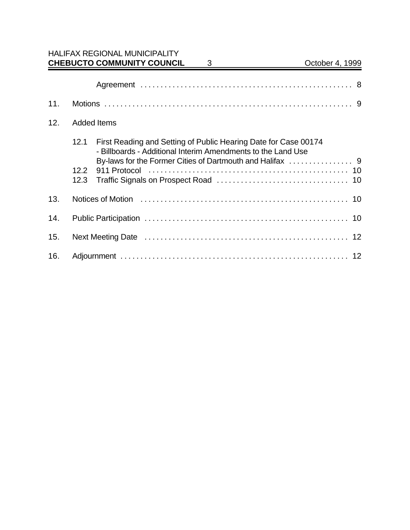| 11. |                    |                                                                                                                                 |
|-----|--------------------|---------------------------------------------------------------------------------------------------------------------------------|
| 12. | <b>Added Items</b> |                                                                                                                                 |
|     | 12.1               | First Reading and Setting of Public Hearing Date for Case 00174<br>- Billboards - Additional Interim Amendments to the Land Use |
|     | 12.2<br>12.3       |                                                                                                                                 |
| 13. |                    |                                                                                                                                 |
| 14. |                    |                                                                                                                                 |
| 15. |                    |                                                                                                                                 |
| 16. |                    |                                                                                                                                 |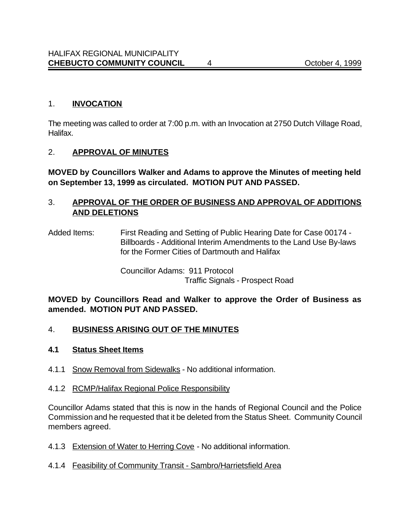### 1. **INVOCATION**

The meeting was called to order at 7:00 p.m. with an Invocation at 2750 Dutch Village Road, Halifax.

### 2. **APPROVAL OF MINUTES**

**MOVED by Councillors Walker and Adams to approve the Minutes of meeting held on September 13, 1999 as circulated. MOTION PUT AND PASSED.**

### 3. **APPROVAL OF THE ORDER OF BUSINESS AND APPROVAL OF ADDITIONS AND DELETIONS**

Added Items: First Reading and Setting of Public Hearing Date for Case 00174 - Billboards - Additional Interim Amendments to the Land Use By-laws for the Former Cities of Dartmouth and Halifax

> Councillor Adams: 911 Protocol Traffic Signals - Prospect Road

**MOVED by Councillors Read and Walker to approve the Order of Business as amended. MOTION PUT AND PASSED.**

## 4. **BUSINESS ARISING OUT OF THE MINUTES**

#### **4.1 Status Sheet Items**

4.1.1 Snow Removal from Sidewalks - No additional information.

#### 4.1.2 RCMP/Halifax Regional Police Responsibility

Councillor Adams stated that this is now in the hands of Regional Council and the Police Commission and he requested that it be deleted from the Status Sheet. Community Council members agreed.

4.1.3 Extension of Water to Herring Cove - No additional information.

#### 4.1.4 Feasibility of Community Transit - Sambro/Harrietsfield Area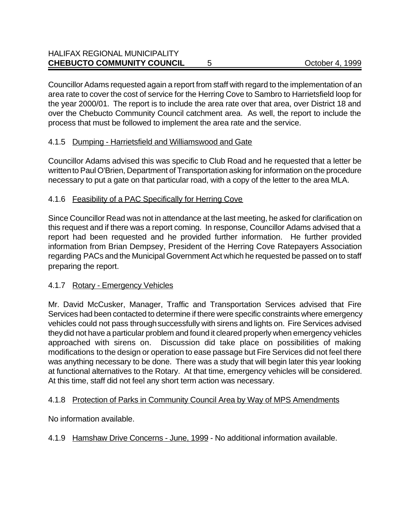Councillor Adams requested again a report from staff with regard to the implementation of an area rate to cover the cost of service for the Herring Cove to Sambro to Harrietsfield loop for the year 2000/01. The report is to include the area rate over that area, over District 18 and over the Chebucto Community Council catchment area. As well, the report to include the process that must be followed to implement the area rate and the service.

# 4.1.5 Dumping - Harrietsfield and Williamswood and Gate

Councillor Adams advised this was specific to Club Road and he requested that a letter be written to Paul O'Brien, Department of Transportation asking for information on the procedure necessary to put a gate on that particular road, with a copy of the letter to the area MLA.

# 4.1.6 Feasibility of a PAC Specifically for Herring Cove

Since Councillor Read was not in attendance at the last meeting, he asked for clarification on this request and if there was a report coming. In response, Councillor Adams advised that a report had been requested and he provided further information. He further provided information from Brian Dempsey, President of the Herring Cove Ratepayers Association regarding PACs and the Municipal Government Act which he requested be passed on to staff preparing the report.

# 4.1.7 Rotary - Emergency Vehicles

Mr. David McCusker, Manager, Traffic and Transportation Services advised that Fire Services had been contacted to determine if there were specific constraints where emergency vehicles could not pass through successfully with sirens and lights on. Fire Services advised they did not have a particular problem and found it cleared properly when emergency vehicles approached with sirens on. Discussion did take place on possibilities of making modifications to the design or operation to ease passage but Fire Services did not feel there was anything necessary to be done. There was a study that will begin later this year looking at functional alternatives to the Rotary. At that time, emergency vehicles will be considered. At this time, staff did not feel any short term action was necessary.

## 4.1.8 Protection of Parks in Community Council Area by Way of MPS Amendments

No information available.

4.1.9 Hamshaw Drive Concerns - June, 1999 - No additional information available.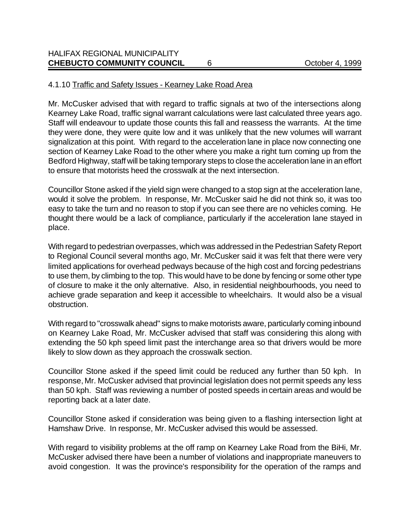### 4.1.10 Traffic and Safety Issues - Kearney Lake Road Area

Mr. McCusker advised that with regard to traffic signals at two of the intersections along Kearney Lake Road, traffic signal warrant calculations were last calculated three years ago. Staff will endeavour to update those counts this fall and reassess the warrants. At the time they were done, they were quite low and it was unlikely that the new volumes will warrant signalization at this point. With regard to the acceleration lane in place now connecting one section of Kearney Lake Road to the other where you make a right turn coming up from the Bedford Highway, staff will be taking temporary steps to close the acceleration lane in an effort to ensure that motorists heed the crosswalk at the next intersection.

Councillor Stone asked if the yield sign were changed to a stop sign at the acceleration lane, would it solve the problem. In response, Mr. McCusker said he did not think so, it was too easy to take the turn and no reason to stop if you can see there are no vehicles coming. He thought there would be a lack of compliance, particularly if the acceleration lane stayed in place.

With regard to pedestrian overpasses, which was addressed in the Pedestrian Safety Report to Regional Council several months ago, Mr. McCusker said it was felt that there were very limited applications for overhead pedways because of the high cost and forcing pedestrians to use them, by climbing to the top. This would have to be done by fencing or some other type of closure to make it the only alternative. Also, in residential neighbourhoods, you need to achieve grade separation and keep it accessible to wheelchairs. It would also be a visual obstruction.

With regard to "crosswalk ahead" signs to make motorists aware, particularly coming inbound on Kearney Lake Road, Mr. McCusker advised that staff was considering this along with extending the 50 kph speed limit past the interchange area so that drivers would be more likely to slow down as they approach the crosswalk section.

Councillor Stone asked if the speed limit could be reduced any further than 50 kph. In response, Mr. McCusker advised that provincial legislation does not permit speeds any less than 50 kph. Staff was reviewing a number of posted speeds in certain areas and would be reporting back at a later date.

Councillor Stone asked if consideration was being given to a flashing intersection light at Hamshaw Drive. In response, Mr. McCusker advised this would be assessed.

With regard to visibility problems at the off ramp on Kearney Lake Road from the BiHi, Mr. McCusker advised there have been a number of violations and inappropriate maneuvers to avoid congestion. It was the province's responsibility for the operation of the ramps and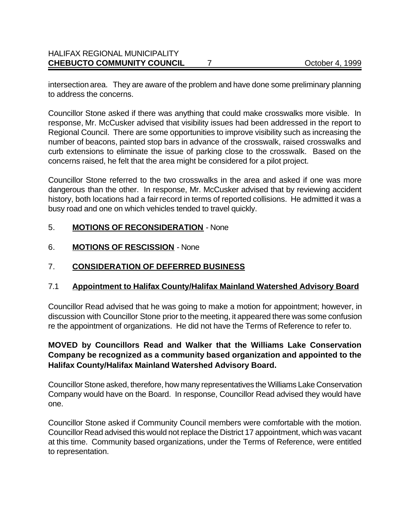intersection area. They are aware of the problem and have done some preliminary planning to address the concerns.

Councillor Stone asked if there was anything that could make crosswalks more visible. In response, Mr. McCusker advised that visibility issues had been addressed in the report to Regional Council. There are some opportunities to improve visibility such as increasing the number of beacons, painted stop bars in advance of the crosswalk, raised crosswalks and curb extensions to eliminate the issue of parking close to the crosswalk. Based on the concerns raised, he felt that the area might be considered for a pilot project.

Councillor Stone referred to the two crosswalks in the area and asked if one was more dangerous than the other. In response, Mr. McCusker advised that by reviewing accident history, both locations had a fair record in terms of reported collisions. He admitted it was a busy road and one on which vehicles tended to travel quickly.

## 5. **MOTIONS OF RECONSIDERATION** - None

6. **MOTIONS OF RESCISSION** - None

# 7. **CONSIDERATION OF DEFERRED BUSINESS**

## 7.1 **Appointment to Halifax County/Halifax Mainland Watershed Advisory Board**

Councillor Read advised that he was going to make a motion for appointment; however, in discussion with Councillor Stone prior to the meeting, it appeared there was some confusion re the appointment of organizations. He did not have the Terms of Reference to refer to.

## **MOVED by Councillors Read and Walker that the Williams Lake Conservation Company be recognized as a community based organization and appointed to the Halifax County/Halifax Mainland Watershed Advisory Board.**

Councillor Stone asked, therefore, how many representatives the Williams Lake Conservation Company would have on the Board. In response, Councillor Read advised they would have one.

Councillor Stone asked if Community Council members were comfortable with the motion. Councillor Read advised this would not replace the District 17 appointment, which was vacant at this time. Community based organizations, under the Terms of Reference, were entitled to representation.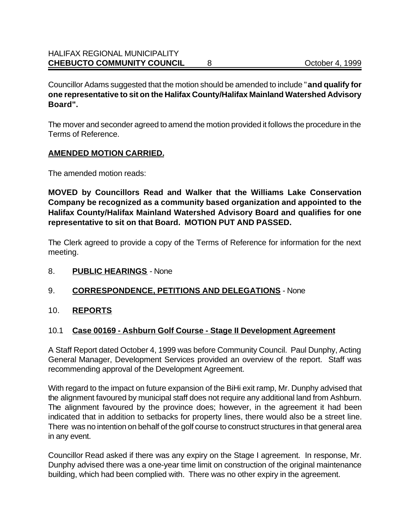Councillor Adams suggested that the motion should be amended to include "**and qualify for one representative to sit on the Halifax County/Halifax Mainland Watershed Advisory Board".**

The mover and seconder agreed to amend the motion provided it follows the procedure in the Terms of Reference.

## **AMENDED MOTION CARRIED.**

The amended motion reads:

**MOVED by Councillors Read and Walker that the Williams Lake Conservation Company be recognized as a community based organization and appointed to the Halifax County/Halifax Mainland Watershed Advisory Board and qualifies for one representative to sit on that Board. MOTION PUT AND PASSED.**

The Clerk agreed to provide a copy of the Terms of Reference for information for the next meeting.

8. **PUBLIC HEARINGS** - None

## 9. **CORRESPONDENCE, PETITIONS AND DELEGATIONS** - None

#### 10. **REPORTS**

#### 10.1 **Case 00169 - Ashburn Golf Course - Stage II Development Agreement**

A Staff Report dated October 4, 1999 was before Community Council. Paul Dunphy, Acting General Manager, Development Services provided an overview of the report. Staff was recommending approval of the Development Agreement.

With regard to the impact on future expansion of the BiHi exit ramp, Mr. Dunphy advised that the alignment favoured by municipal staff does not require any additional land from Ashburn. The alignment favoured by the province does; however, in the agreement it had been indicated that in addition to setbacks for property lines, there would also be a street line. There was no intention on behalf of the golf course to construct structures in that general area in any event.

Councillor Read asked if there was any expiry on the Stage I agreement. In response, Mr. Dunphy advised there was a one-year time limit on construction of the original maintenance building, which had been complied with. There was no other expiry in the agreement.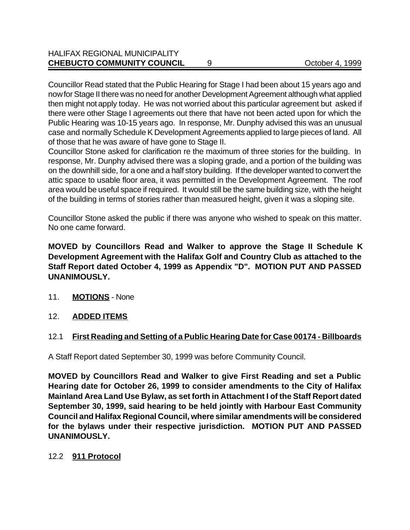Councillor Read stated that the Public Hearing for Stage I had been about 15 years ago and now for Stage II there was no need for another Development Agreement although what applied then might not apply today. He was not worried about this particular agreement but asked if there were other Stage I agreements out there that have not been acted upon for which the Public Hearing was 10-15 years ago. In response, Mr. Dunphy advised this was an unusual case and normally Schedule K Development Agreements applied to large pieces of land. All of those that he was aware of have gone to Stage II.

Councillor Stone asked for clarification re the maximum of three stories for the building. In response, Mr. Dunphy advised there was a sloping grade, and a portion of the building was on the downhill side, for a one and a half story building. If the developer wanted to convert the attic space to usable floor area, it was permitted in the Development Agreement. The roof area would be useful space if required. It would still be the same building size, with the height of the building in terms of stories rather than measured height, given it was a sloping site.

Councillor Stone asked the public if there was anyone who wished to speak on this matter. No one came forward.

**MOVED by Councillors Read and Walker to approve the Stage II Schedule K Development Agreement with the Halifax Golf and Country Club as attached to the Staff Report dated October 4, 1999 as Appendix "D". MOTION PUT AND PASSED UNANIMOUSLY.**

- 11. **MOTIONS** None
- 12. **ADDED ITEMS**

# 12.1 **First Reading and Setting of a Public Hearing Date for Case 00174 - Billboards**

A Staff Report dated September 30, 1999 was before Community Council.

**MOVED by Councillors Read and Walker to give First Reading and set a Public Hearing date for October 26, 1999 to consider amendments to the City of Halifax Mainland Area Land Use Bylaw, as set forth in Attachment I of the Staff Report dated September 30, 1999, said hearing to be held jointly with Harbour East Community Council and Halifax Regional Council, where similar amendments will be considered for the bylaws under their respective jurisdiction. MOTION PUT AND PASSED UNANIMOUSLY.**

## 12.2 **911 Protocol**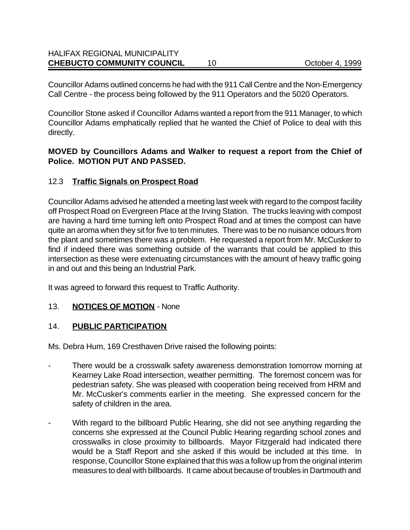#### HALIFAX REGIONAL MUNICIPALITY **CHEBUCTO COMMUNITY COUNCIL** 10 October 4, 1999

Councillor Adams outlined concerns he had with the 911 Call Centre and the Non-Emergency Call Centre - the process being followed by the 911 Operators and the 5020 Operators.

Councillor Stone asked if Councillor Adams wanted a report from the 911 Manager, to which Councillor Adams emphatically replied that he wanted the Chief of Police to deal with this directly.

### **MOVED by Councillors Adams and Walker to request a report from the Chief of Police. MOTION PUT AND PASSED.**

## 12.3 **Traffic Signals on Prospect Road**

Councillor Adams advised he attended a meeting last week with regard to the compost facility off Prospect Road on Evergreen Place at the Irving Station. The trucks leaving with compost are having a hard time turning left onto Prospect Road and at times the compost can have quite an aroma when they sit for five to ten minutes. There was to be no nuisance odours from the plant and sometimes there was a problem. He requested a report from Mr. McCusker to find if indeed there was something outside of the warrants that could be applied to this intersection as these were extenuating circumstances with the amount of heavy traffic going in and out and this being an Industrial Park.

It was agreed to forward this request to Traffic Authority.

## 13. **NOTICES OF MOTION** - None

## 14. **PUBLIC PARTICIPATION**

Ms. Debra Hum, 169 Cresthaven Drive raised the following points:

- There would be a crosswalk safety awareness demonstration tomorrow morning at Kearney Lake Road intersection, weather permitting. The foremost concern was for pedestrian safety. She was pleased with cooperation being received from HRM and Mr. McCusker's comments earlier in the meeting. She expressed concern for the safety of children in the area.
- With regard to the billboard Public Hearing, she did not see anything regarding the concerns she expressed at the Council Public Hearing regarding school zones and crosswalks in close proximity to billboards. Mayor Fitzgerald had indicated there would be a Staff Report and she asked if this would be included at this time. In response, Councillor Stone explained that this was a follow up from the original interim measures to deal with billboards. It came about because of troubles in Dartmouth and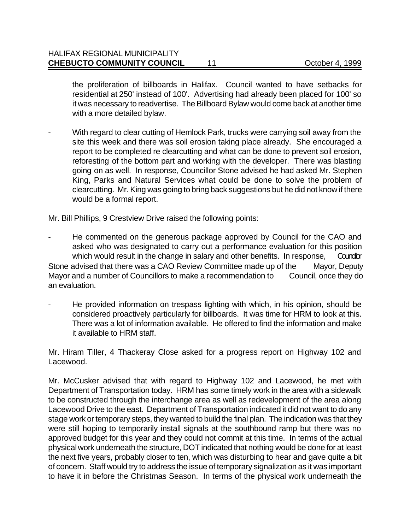the proliferation of billboards in Halifax. Council wanted to have setbacks for residential at 250' instead of 100'. Advertising had already been placed for 100' so it was necessary to readvertise. The Billboard Bylaw would come back at another time with a more detailed bylaw.

With regard to clear cutting of Hemlock Park, trucks were carrying soil away from the site this week and there was soil erosion taking place already. She encouraged a report to be completed re clearcutting and what can be done to prevent soil erosion, reforesting of the bottom part and working with the developer. There was blasting going on as well. In response, Councillor Stone advised he had asked Mr. Stephen King, Parks and Natural Services what could be done to solve the problem of clearcutting. Mr. King was going to bring back suggestions but he did not know if there would be a formal report.

Mr. Bill Phillips, 9 Crestview Drive raised the following points:

He commented on the generous package approved by Council for the CAO and asked who was designated to carry out a performance evaluation for this position which would result in the change in salary and other benefits. In response, Candor Stone advised that there was a CAO Review Committee made up of the Mayor, Deputy Mayor and a number of Councillors to make a recommendation to Council, once they do an evaluation.

He provided information on trespass lighting with which, in his opinion, should be considered proactively particularly for billboards. It was time for HRM to look at this. There was a lot of information available. He offered to find the information and make it available to HRM staff.

Mr. Hiram Tiller, 4 Thackeray Close asked for a progress report on Highway 102 and Lacewood.

Mr. McCusker advised that with regard to Highway 102 and Lacewood, he met with Department of Transportation today. HRM has some timely work in the area with a sidewalk to be constructed through the interchange area as well as redevelopment of the area along Lacewood Drive to the east. Department of Transportation indicated it did not want to do any stage work or temporary steps, they wanted to build the final plan. The indication was that they were still hoping to temporarily install signals at the southbound ramp but there was no approved budget for this year and they could not commit at this time. In terms of the actual physical work underneath the structure, DOT indicated that nothing would be done for at least the next five years, probably closer to ten, which was disturbing to hear and gave quite a bit of concern. Staff would try to address the issue of temporary signalization as it was important to have it in before the Christmas Season. In terms of the physical work underneath the